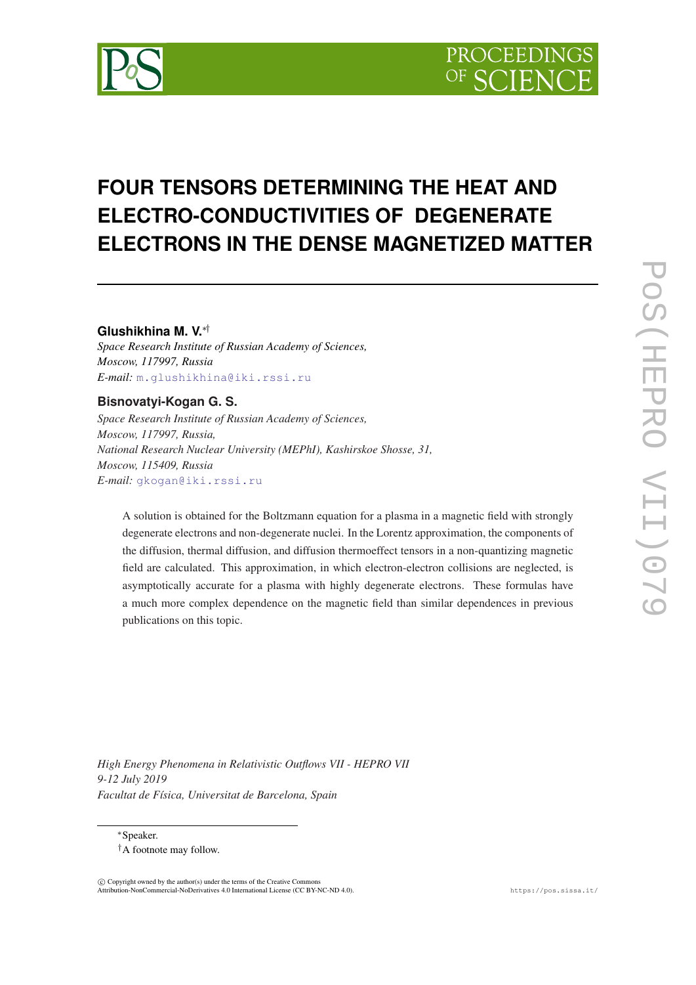

# **FOUR TENSORS DETERMINING THE HEAT AND ELECTRO-CONDUCTIVITIES OF DEGENERATE ELECTRONS IN THE DENSE MAGNETIZED MATTER**

## **Glushikhina M. V.**∗†

*Space Research Institute of Russian Academy of Sciences, Moscow, 117997, Russia E-mail:* [m.glushikhina@iki.rssi.ru](mailto:m.glushikhina@iki.rssi.ru)

# **Bisnovatyi-Kogan G. S.**

*Space Research Institute of Russian Academy of Sciences, Moscow, 117997, Russia, National Research Nuclear University (MEPhI), Kashirskoe Shosse, 31, Moscow, 115409, Russia E-mail:* [gkogan@iki.rssi.ru](mailto:gkogan@iki.rssi.ru)

A solution is obtained for the Boltzmann equation for a plasma in a magnetic field with strongly degenerate electrons and non-degenerate nuclei. In the Lorentz approximation, the components of the diffusion, thermal diffusion, and diffusion thermoeffect tensors in a non-quantizing magnetic field are calculated. This approximation, in which electron-electron collisions are neglected, is asymptotically accurate for a plasma with highly degenerate electrons. These formulas have a much more complex dependence on the magnetic field than similar dependences in previous publications on this topic.

*High Energy Phenomena in Relativistic Outflows VII - HEPRO VII 9-12 July 2019 Facultat de Física, Universitat de Barcelona, Spain*

<sup>∗</sup>Speaker.

†A footnote may follow.

 $\overline{c}$  Copyright owned by the author(s) under the terms of the Creative Common Attribution-NonCommercial-NoDerivatives 4.0 International License (CC BY-NC-ND 4.0). https://pos.sissa.it/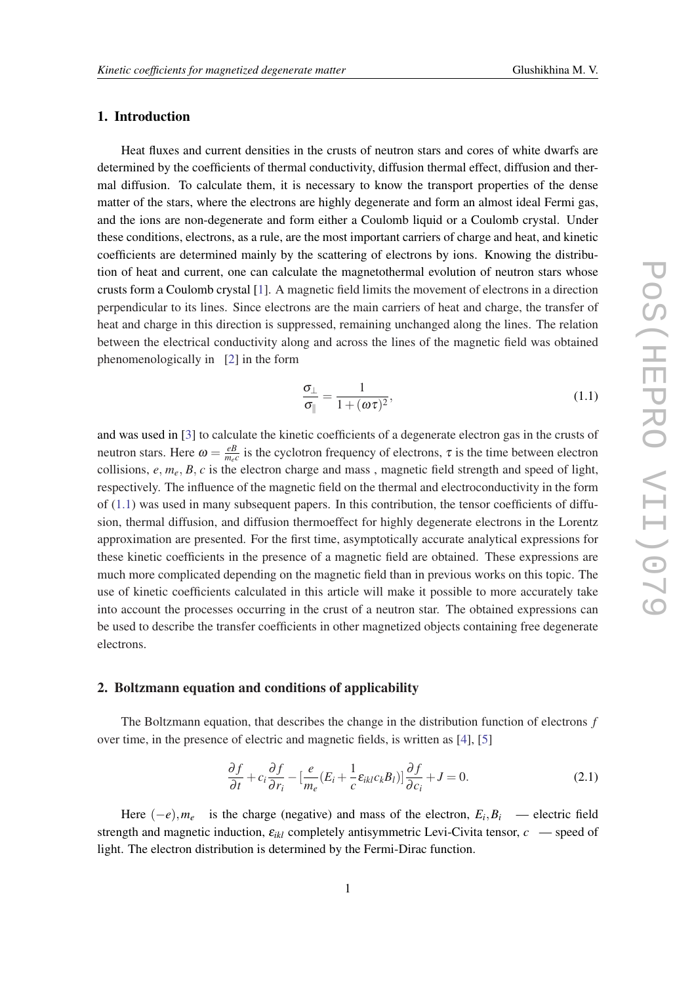# <span id="page-1-0"></span>1. Introduction

Heat fluxes and current densities in the crusts of neutron stars and cores of white dwarfs are determined by the coefficients of thermal conductivity, diffusion thermal effect, diffusion and thermal diffusion. To calculate them, it is necessary to know the transport properties of the dense matter of the stars, where the electrons are highly degenerate and form an almost ideal Fermi gas, and the ions are non-degenerate and form either a Coulomb liquid or a Coulomb crystal. Under these conditions, electrons, as a rule, are the most important carriers of charge and heat, and kinetic coefficients are determined mainly by the scattering of electrons by ions. Knowing the distribution of heat and current, one can calculate the magnetothermal evolution of neutron stars whose crusts form a Coulomb crystal [\[1\]](#page-6-0). A magnetic field limits the movement of electrons in a direction perpendicular to its lines. Since electrons are the main carriers of heat and charge, the transfer of heat and charge in this direction is suppressed, remaining unchanged along the lines. The relation between the electrical conductivity along and across the lines of the magnetic field was obtained phenomenologically in [\[2\]](#page-6-0) in the form

$$
\frac{\sigma_{\perp}}{\sigma_{\parallel}} = \frac{1}{1 + (\omega \tau)^2},\tag{1.1}
$$

and was used in [[3](#page-6-0)] to calculate the kinetic coefficients of a degenerate electron gas in the crusts of neutron stars. Here  $\omega = \frac{eB}{m_e}$  $\frac{e}{m_e c}$  is the cyclotron frequency of electrons,  $\tau$  is the time between electron collisions, *e*, *me*, *B*, *c* is the electron charge and mass , magnetic field strength and speed of light, respectively. The influence of the magnetic field on the thermal and electroconductivity in the form of (1.1) was used in many subsequent papers. In this contribution, the tensor coefficients of diffusion, thermal diffusion, and diffusion thermoeffect for highly degenerate electrons in the Lorentz approximation are presented. For the first time, asymptotically accurate analytical expressions for these kinetic coefficients in the presence of a magnetic field are obtained. These expressions are much more complicated depending on the magnetic field than in previous works on this topic. The use of kinetic coefficients calculated in this article will make it possible to more accurately take into account the processes occurring in the crust of a neutron star. The obtained expressions can be used to describe the transfer coefficients in other magnetized objects containing free degenerate electrons.

#### 2. Boltzmann equation and conditions of applicability

The Boltzmann equation, that describes the change in the distribution function of electrons *f* over time, in the presence of electric and magnetic fields, is written as [\[4\]](#page-7-0), [\[5\]](#page-7-0)

$$
\frac{\partial f}{\partial t} + c_i \frac{\partial f}{\partial r_i} - \left[ \frac{e}{m_e} (E_i + \frac{1}{c} \varepsilon_{ikl} c_k B_l) \right] \frac{\partial f}{\partial c_i} + J = 0. \tag{2.1}
$$

Here  $(-e)$ ,  $m_e$  is the charge (negative) and mass of the electron,  $E_i, B_i$  — electric field strength and magnetic induction,  $\varepsilon_{ikl}$  completely antisymmetric Levi-Civita tensor,  $c$  — speed of light. The electron distribution is determined by the Fermi-Dirac function.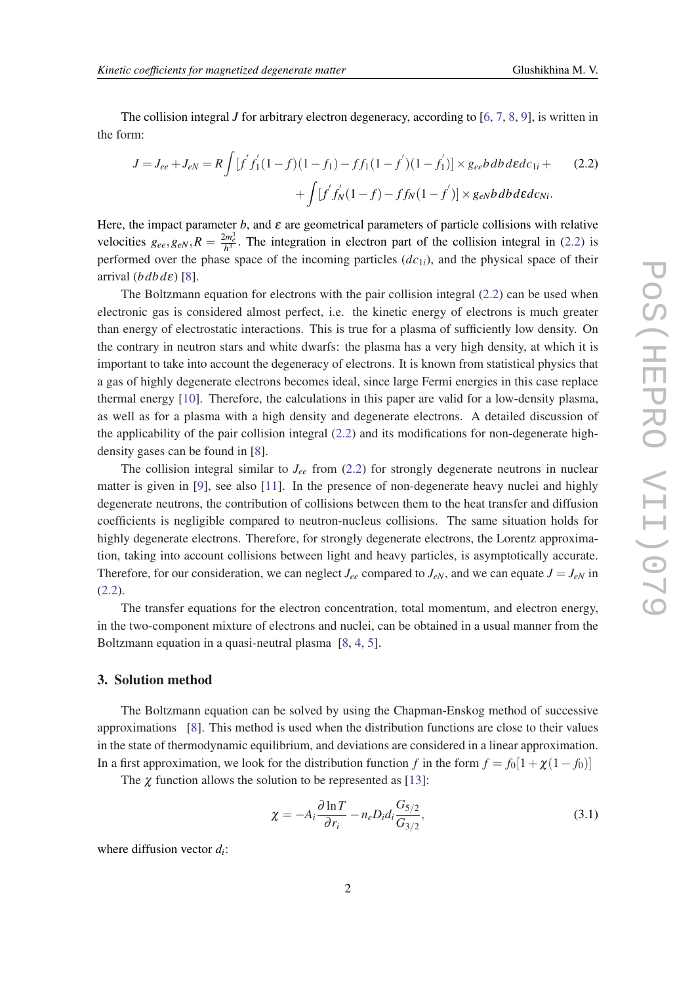The collision integral *J* for arbitrary electron degeneracy, according to [[6](#page-7-0), [7,](#page-7-0) [8,](#page-7-0) [9](#page-7-0)], is written in the form:

$$
J = J_{ee} + J_{eN} = R \int [f' f_1'(1 - f)(1 - f_1) - ff_1(1 - f')(1 - f_1')] \times g_{ee} b \, db \, d\epsilon \, dc_{1i} +
$$
  
+ 
$$
\int [f' f_N'(1 - f) - ff_N(1 - f')] \times g_{eN} b \, db \, d\epsilon \, dc_{Ni}.
$$
 (2.2)

Here, the impact parameter  $b$ , and  $\varepsilon$  are geometrical parameters of particle collisions with relative velocities  $g_{ee}, g_{eN}, R = \frac{2m_e^3}{h^3}$ . The integration in electron part of the collision integral in (2.2) is performed over the phase space of the incoming particles ( $dc_{1i}$ ), and the physical space of their arrival (*b db d*ε) [[8](#page-7-0)].

The Boltzmann equation for electrons with the pair collision integral (2.2) can be used when electronic gas is considered almost perfect, i.e. the kinetic energy of electrons is much greater than energy of electrostatic interactions. This is true for a plasma of sufficiently low density. On the contrary in neutron stars and white dwarfs: the plasma has a very high density, at which it is important to take into account the degeneracy of electrons. It is known from statistical physics that a gas of highly degenerate electrons becomes ideal, since large Fermi energies in this case replace thermal energy [\[10](#page-7-0)]. Therefore, the calculations in this paper are valid for a low-density plasma, as well as for a plasma with a high density and degenerate electrons. A detailed discussion of the applicability of the pair collision integral (2.2) and its modifications for non-degenerate highdensity gases can be found in [[8](#page-7-0)].

The collision integral similar to  $J_{ee}$  from (2.2) for strongly degenerate neutrons in nuclear matter is given in  $[9]$  $[9]$  $[9]$ , see also  $[11]$  $[11]$ . In the presence of non-degenerate heavy nuclei and highly degenerate neutrons, the contribution of collisions between them to the heat transfer and diffusion coefficients is negligible compared to neutron-nucleus collisions. The same situation holds for highly degenerate electrons. Therefore, for strongly degenerate electrons, the Lorentz approximation, taking into account collisions between light and heavy particles, is asymptotically accurate. Therefore, for our consideration, we can neglect  $J_{ee}$  compared to  $J_{eN}$ , and we can equate  $J = J_{eN}$  in (2.2).

The transfer equations for the electron concentration, total momentum, and electron energy, in the two-component mixture of electrons and nuclei, can be obtained in a usual manner from the Boltzmann equation in a quasi-neutral plasma [[8](#page-7-0), [4](#page-7-0), [5\]](#page-7-0).

#### 3. Solution method

The Boltzmann equation can be solved by using the Chapman-Enskog method of successive approximations [\[8\]](#page-7-0). This method is used when the distribution functions are close to their values in the state of thermodynamic equilibrium, and deviations are considered in a linear approximation. In a first approximation, we look for the distribution function *f* in the form  $f = f_0[1 + \chi(1 - f_0)]$ 

The  $\chi$  function allows the solution to be represented as [[13\]](#page-7-0):

$$
\chi = -A_i \frac{\partial \ln T}{\partial r_i} - n_e D_i d_i \frac{G_{5/2}}{G_{3/2}},\tag{3.1}
$$

where diffusion vector *d<sup>i</sup>* :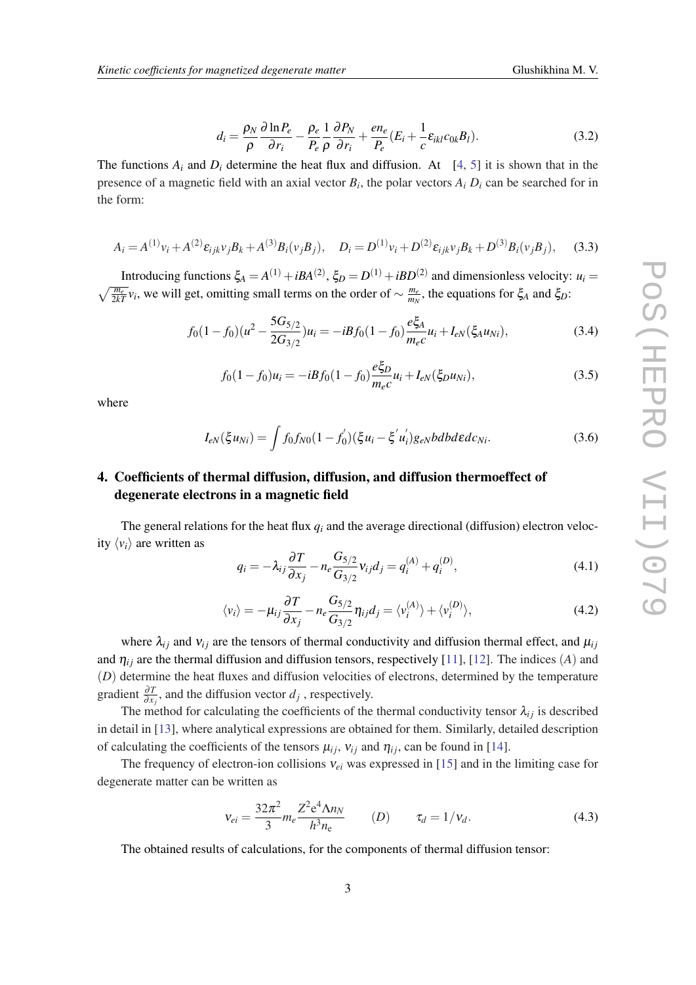$$
d_i = \frac{\rho_N}{\rho} \frac{\partial \ln P_e}{\partial r_i} - \frac{\rho_e}{P_e} \frac{1}{\rho} \frac{\partial P_N}{\partial r_i} + \frac{en_e}{P_e} (E_i + \frac{1}{c} \varepsilon_{ikl} c_{0k} B_l).
$$
 (3.2)

The functions  $A_i$  and  $D_i$  determine the heat flux and diffusion. At [[4](#page-7-0), [5\]](#page-7-0) it is shown that in the presence of a magnetic field with an axial vector  $B_i$ , the polar vectors  $A_i D_i$  can be searched for in the form:

$$
A_i = A^{(1)}v_i + A^{(2)}\varepsilon_{ijk}v_jB_k + A^{(3)}B_i(v_jB_j), \quad D_i = D^{(1)}v_i + D^{(2)}\varepsilon_{ijk}v_jB_k + D^{(3)}B_i(v_jB_j), \tag{3.3}
$$

Introducing functions  $\xi_A = A^{(1)} + iBA^{(2)}$ ,  $\xi_D = D^{(1)} + iBD^{(2)}$  and dimensionless velocity:  $u_i =$  $\sqrt{\frac{m_e}{2kT}}$ *v*<sup>*i*</sup>, we will get, omitting small terms on the order of  $\sim \frac{m_e}{m_N}$  $\frac{m_e}{m_N}$ , the equations for  $\xi_A$  and  $\xi_D$ :

$$
f_0(1 - f_0)(u^2 - \frac{5G_{5/2}}{2G_{3/2}})u_i = -iBf_0(1 - f_0)\frac{e\xi_A}{m_ec}u_i + I_{eN}(\xi_A u_{Ni}),
$$
\n(3.4)

$$
f_0(1 - f_0)u_i = -iBf_0(1 - f_0)\frac{e\xi_D}{m_e c}u_i + I_{eN}(\xi_D u_{Ni}),
$$
\n(3.5)

where

$$
I_{eN}(\xi u_{Ni}) = \int f_0 f_{N0}(1 - f_0')(\xi u_i - \xi' u_i') g_{eN} bdbde d\epsilon_{Ni}.
$$
 (3.6)

# 4. Coefficients of thermal diffusion, diffusion, and diffusion thermoeffect of degenerate electrons in a magnetic field

The general relations for the heat flux  $q_i$  and the average directional (diffusion) electron velocity  $\langle v_i \rangle$  are written as

$$
q_i = -\lambda_{ij} \frac{\partial T}{\partial x_j} - n_e \frac{G_{5/2}}{G_{3/2}} v_{ij} d_j = q_i^{(A)} + q_i^{(D)}, \qquad (4.1)
$$

$$
\langle v_i \rangle = -\mu_{ij} \frac{\partial T}{\partial x_j} - n_e \frac{G_{5/2}}{G_{3/2}} \eta_{ij} d_j = \langle v_i^{(A)} \rangle + \langle v_i^{(D)} \rangle, \tag{4.2}
$$

where  $\lambda_{ij}$  and  $v_{ij}$  are the tensors of thermal conductivity and diffusion thermal effect, and  $\mu_{ij}$ and  $\eta_{ij}$  are the thermal diffusion and diffusion tensors, respectively [\[11](#page-7-0)], [[12\]](#page-7-0). The indices (A) and (*D*) determine the heat fluxes and diffusion velocities of electrons, determined by the temperature gradient  $\frac{\partial T}{\partial x_j}$ , and the diffusion vector  $d_j$ , respectively.

The method for calculating the coefficients of the thermal conductivity tensor  $\lambda_{ij}$  is described in detail in [[13](#page-7-0)], where analytical expressions are obtained for them. Similarly, detailed description of calculating the coefficients of the tensors  $\mu_{ij}$ ,  $v_{ij}$  and  $\eta_{ij}$ , can be found in [[14\]](#page-7-0).

The frequency of electron-ion collisions ν*ei* was expressed in [[15\]](#page-7-0) and in the limiting case for degenerate matter can be written as

$$
v_{ei} = \frac{32\pi^2}{3} m_e \frac{Z^2 e^4 \Lambda n_N}{h^3 n_e} \qquad (D) \qquad \tau_d = 1/v_d. \tag{4.3}
$$

The obtained results of calculations, for the components of thermal diffusion tensor: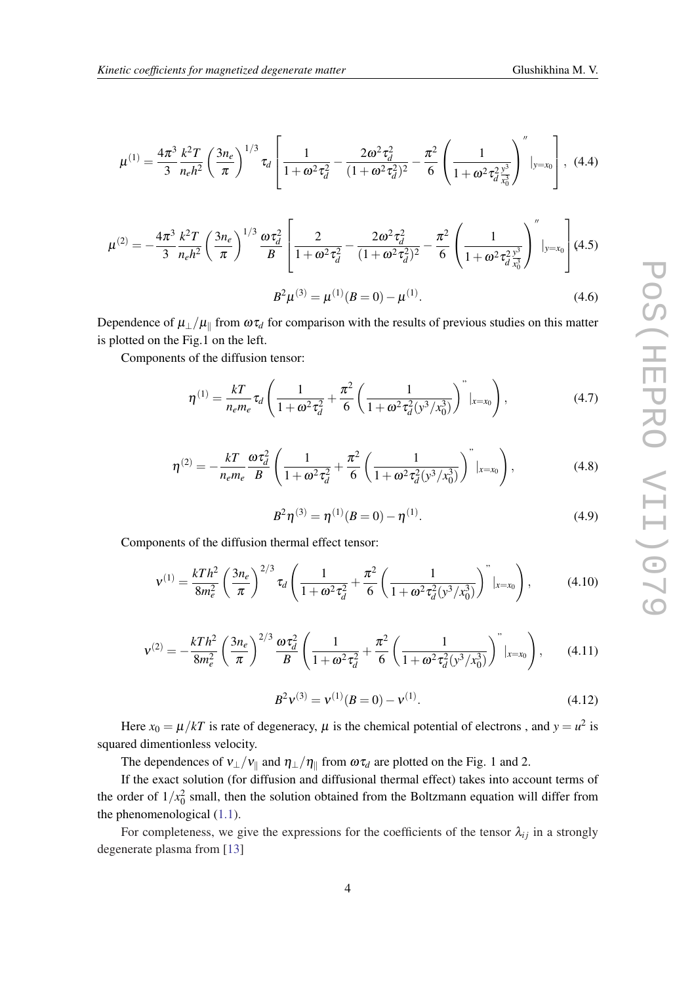$$
\mu^{(1)} = \frac{4\pi^3}{3} \frac{k^2 T}{n_e h^2} \left(\frac{3n_e}{\pi}\right)^{1/3} \tau_d \left[\frac{1}{1 + \omega^2 \tau_d^2} - \frac{2\omega^2 \tau_d^2}{(1 + \omega^2 \tau_d^2)^2} - \frac{\pi^2}{6} \left(\frac{1}{1 + \omega^2 \tau_d^2 \frac{y^3}{x_0^3}}\right)^n |_{y=x_0}\right], \tag{4.4}
$$

$$
\mu^{(2)} = -\frac{4\pi^3}{3} \frac{k^2 T}{n_e h^2} \left(\frac{3n_e}{\pi}\right)^{1/3} \frac{\omega \tau_d^2}{B} \left[ \frac{2}{1 + \omega^2 \tau_d^2} - \frac{2\omega^2 \tau_d^2}{(1 + \omega^2 \tau_d^2)^2} - \frac{\pi^2}{6} \left(\frac{1}{1 + \omega^2 \tau_d^2 \frac{y^3}{x_0^3}}\right)^n |_{y=x_0} \right] (4.5)
$$
  

$$
B^2 \mu^{(3)} = \mu^{(1)}(B = 0) - \mu^{(1)}.
$$

Dependence of  $\mu_{\perp}/\mu_{\parallel}$  from  $\omega\tau_d$  for comparison with the results of previous studies on this matter is plotted on the Fig.1 on the left.

Components of the diffusion tensor:

$$
\eta^{(1)} = \frac{kT}{n_e m_e} \tau_d \left( \frac{1}{1 + \omega^2 \tau_d^2} + \frac{\pi^2}{6} \left( \frac{1}{1 + \omega^2 \tau_d^2 (y^3 / x_0^3)} \right)^2 |_{x = x_0} \right), \tag{4.7}
$$

$$
\eta^{(2)} = -\frac{kT}{n_e m_e} \frac{\omega \tau_d^2}{B} \left( \frac{1}{1 + \omega^2 \tau_d^2} + \frac{\pi^2}{6} \left( \frac{1}{1 + \omega^2 \tau_d^2 (y^3 / x_0^3)} \right)^2 \Big|_{x = x_0} \right), \tag{4.8}
$$

 $B^2\eta^{(3)}=\eta^{(1)}(B=0)-\eta^{(1)}$  $(4.9)$ 

Components of the diffusion thermal effect tensor:

$$
v^{(1)} = \frac{kTh^2}{8m_e^2} \left(\frac{3n_e}{\pi}\right)^{2/3} \tau_d \left(\frac{1}{1+\omega^2 \tau_d^2} + \frac{\pi^2}{6} \left(\frac{1}{1+\omega^2 \tau_d^2 (y^3/x_0^3)}\right)^n |_{x=x_0}\right),\tag{4.10}
$$

$$
v^{(2)} = -\frac{kTh^2}{8m_e^2} \left(\frac{3n_e}{\pi}\right)^{2/3} \frac{\omega \tau_d^2}{B} \left(\frac{1}{1 + \omega^2 \tau_d^2} + \frac{\pi^2}{6} \left(\frac{1}{1 + \omega^2 \tau_d^2 (y^3 / x_0^3)}\right)^n |_{x = x_0}\right), \quad (4.11)
$$

$$
B^{2}v^{(3)} = v^{(1)}(B=0) - v^{(1)}.
$$
\n(4.12)

Here  $x_0 = \mu / kT$  is rate of degeneracy,  $\mu$  is the chemical potential of electrons, and  $y = u^2$  is squared dimentionless velocity.

The dependences of  $v_\perp/v_\parallel$  and  $\eta_\perp/\eta_\parallel$  from  $\omega\tau_d$  are plotted on the Fig. 1 and 2.

If the exact solution (for diffusion and diffusional thermal effect) takes into account terms of the order of  $1/x_0^2$  small, then the solution obtained from the Boltzmann equation will differ from the phenomenological [\(1.1\)](#page-1-0).

For completeness, we give the expressions for the coefficients of the tensor  $\lambda_{ij}$  in a strongly degenerate plasma from [\[13](#page-7-0)]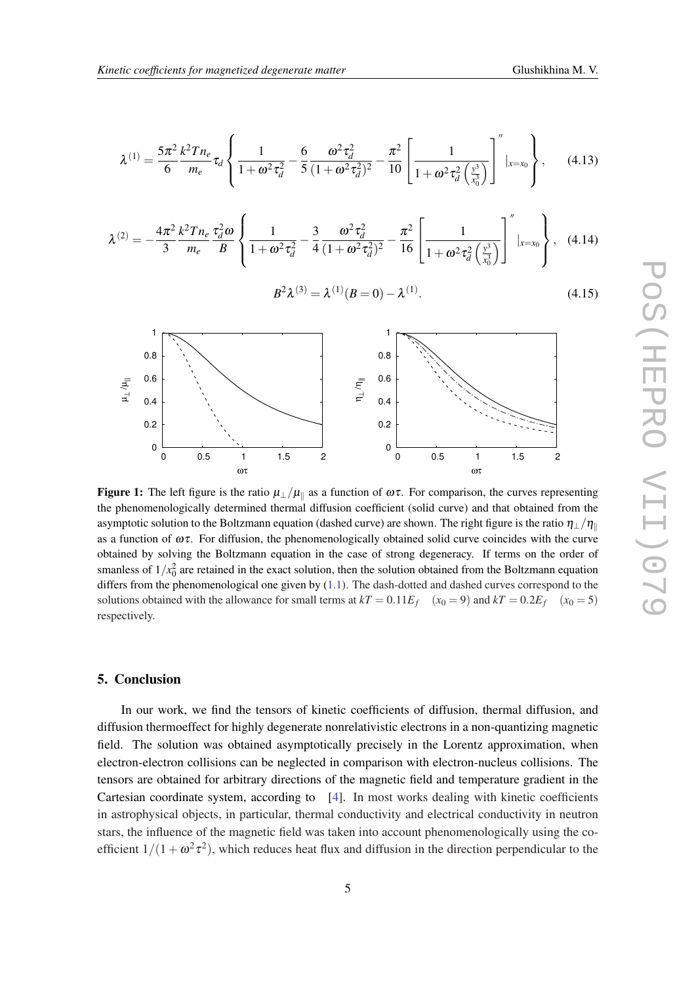$$
\lambda^{(1)} = \frac{5\pi^2}{6} \frac{k^2 T n_e}{m_e} \tau_d \left\{ \frac{1}{1 + \omega^2 \tau_d^2} - \frac{6}{5} \frac{\omega^2 \tau_d^2}{(1 + \omega^2 \tau_d^2)^2} - \frac{\pi^2}{10} \left[ \frac{1}{1 + \omega^2 \tau_d^2 \left( \frac{y^3}{x_0^3} \right)} \right]'' |_{x = x_0} \right\}, \quad (4.13)
$$

$$
\lambda^{(2)} = -\frac{4\pi^2}{3} \frac{k^2 T n_e}{m_e} \frac{\tau_d^2 \omega}{B} \left\{ \frac{1}{1 + \omega^2 \tau_d^2} - \frac{3}{4} \frac{\omega^2 \tau_d^2}{(1 + \omega^2 \tau_d^2)^2} - \frac{\pi^2}{16} \left[ \frac{1}{1 + \omega^2 \tau_d^2 \left( \frac{y^3}{x_0^3} \right)} \right]'' |_{x = x_0} \right\}, \quad (4.14)
$$

$$
B^{2}\lambda^{(3)} = \lambda^{(1)}(B=0) - \lambda^{(1)}.
$$
\n(4.15)



Figure 1: The left figure is the ratio  $\mu_{\perp}/\mu_{\parallel}$  as a function of  $\omega\tau$ . For comparison, the curves representing the phenomenologically determined thermal diffusion coefficient (solid curve) and that obtained from the asymptotic solution to the Boltzmann equation (dashed curve) are shown. The right figure is the ratio  $\eta_{\perp}/\eta_{\parallel}$ as a function of  $\omega\tau$ . For diffusion, the phenomenologically obtained solid curve coincides with the curve obtained by solving the Boltzmann equation in the case of strong degeneracy. If terms on the order of smanless of  $1/x_0^2$  are retained in the exact solution, then the solution obtained from the Boltzmann equation differs from the phenomenological one given by [\(1.1\)](#page-1-0). The dash-dotted and dashed curves correspond to the solutions obtained with the allowance for small terms at  $kT = 0.11E_f$   $(x_0 = 9)$  and  $kT = 0.2E_f$   $(x_0 = 5)$ respectively.

## 5. Conclusion

In our work, we find the tensors of kinetic coefficients of diffusion, thermal diffusion, and diffusion thermoeffect for highly degenerate nonrelativistic electrons in a non-quantizing magnetic field. The solution was obtained asymptotically precisely in the Lorentz approximation, when electron-electron collisions can be neglected in comparison with electron-nucleus collisions. The tensors are obtained for arbitrary directions of the magnetic field and temperature gradient in the Cartesian coordinate system, according to [\[4\]](#page-7-0). In most works dealing with kinetic coefficients in astrophysical objects, in particular, thermal conductivity and electrical conductivity in neutron stars, the influence of the magnetic field was taken into account phenomenologically using the coefficient  $1/(1 + \omega^2 \tau^2)$ , which reduces heat flux and diffusion in the direction perpendicular to the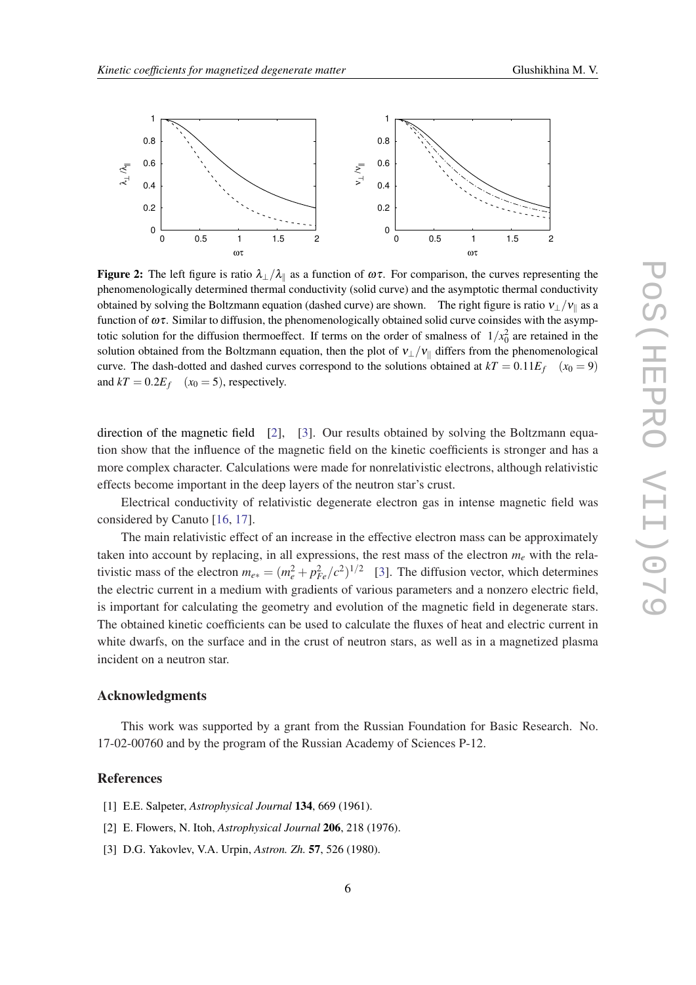<span id="page-6-0"></span>

Figure 2: The left figure is ratio  $\lambda_{\perp}/\lambda_{\parallel}$  as a function of  $\omega\tau$ . For comparison, the curves representing the phenomenologically determined thermal conductivity (solid curve) and the asymptotic thermal conductivity obtained by solving the Boltzmann equation (dashed curve) are shown. The right figure is ratio  $v_{\perp}/v_{\parallel}$  as a function of  $\omega\tau$ . Similar to diffusion, the phenomenologically obtained solid curve coinsides with the asymptotic solution for the diffusion thermoeffect. If terms on the order of smalness of  $1/x_0^2$  are retained in the solution obtained from the Boltzmann equation, then the plot of  $v_{\perp}/v_{\parallel}$  differs from the phenomenological curve. The dash-dotted and dashed curves correspond to the solutions obtained at  $kT = 0.11E_f$  ( $x_0 = 9$ ) and  $kT = 0.2E_f$  ( $x_0 = 5$ ), respectively.

direction of the magnetic field  $[2]$ ,  $[3]$ . Our results obtained by solving the Boltzmann equation show that the influence of the magnetic field on the kinetic coefficients is stronger and has a more complex character. Calculations were made for nonrelativistic electrons, although relativistic effects become important in the deep layers of the neutron star's crust.

Electrical conductivity of relativistic degenerate electron gas in intense magnetic field was considered by Canuto [[16,](#page-7-0) [17](#page-7-0)].

The main relativistic effect of an increase in the effective electron mass can be approximately taken into account by replacing, in all expressions, the rest mass of the electron  $m_e$  with the relativistic mass of the electron  $m_{e*} = (m_e^2 + p_{Fe}^2/c^2)^{1/2}$  [3]. The diffusion vector, which determines the electric current in a medium with gradients of various parameters and a nonzero electric field, is important for calculating the geometry and evolution of the magnetic field in degenerate stars. The obtained kinetic coefficients can be used to calculate the fluxes of heat and electric current in white dwarfs, on the surface and in the crust of neutron stars, as well as in a magnetized plasma incident on a neutron star.

## Acknowledgments

This work was supported by a grant from the Russian Foundation for Basic Research. No. 17-02-00760 and by the program of the Russian Academy of Sciences P-12.

### **References**

- [1] E.E. Salpeter, *Astrophysical Journal* 134, 669 (1961).
- [2] E. Flowers, N. Itoh, *Astrophysical Journal* 206, 218 (1976).
- [3] D.G. Yakovlev, V.A. Urpin, *Astron. Zh.* 57, 526 (1980).